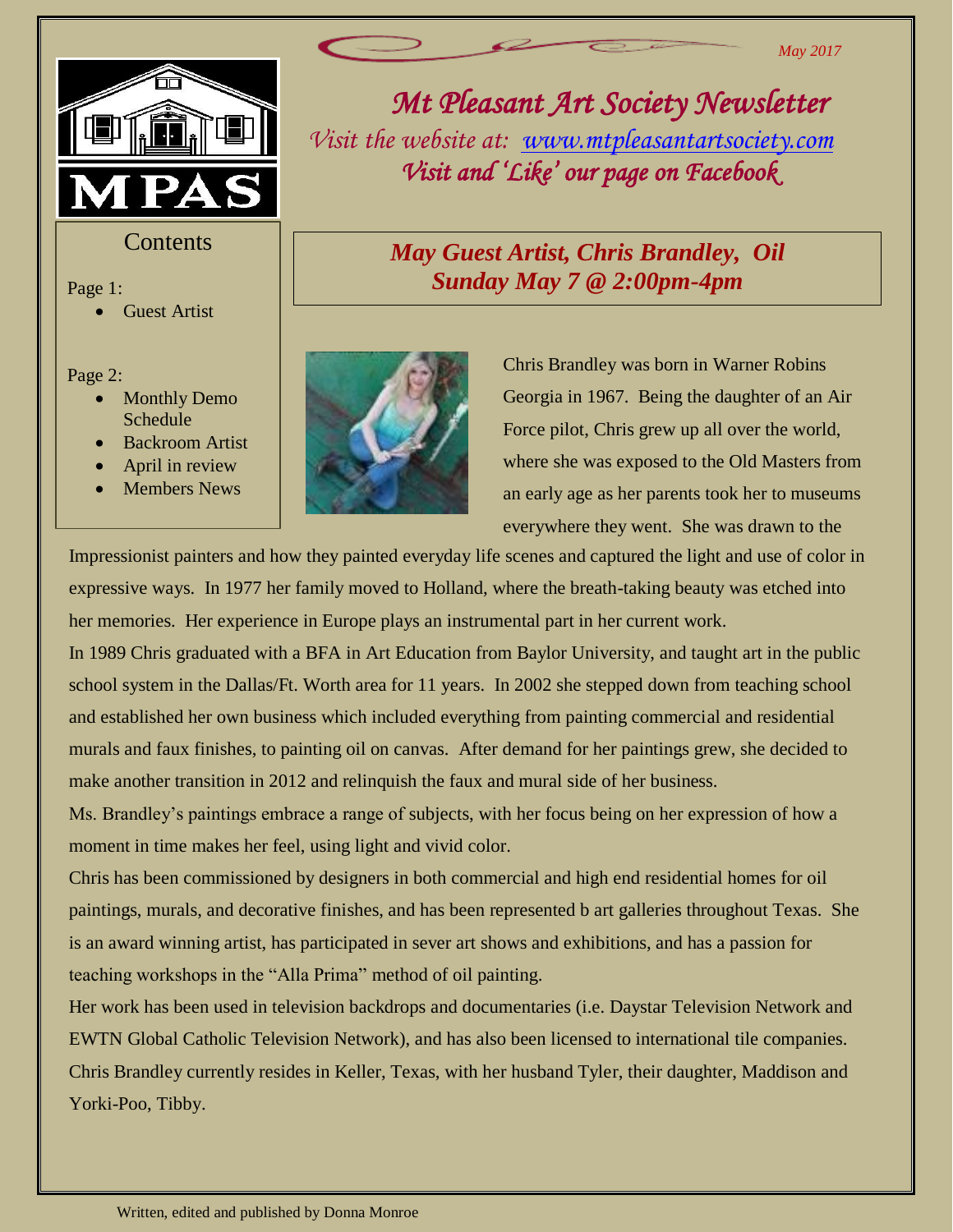



**Contents** 

Page 1:

Guest Artist

- Page 2:<br>**e 1**  Monthly Demo Schedule
	- Backroom Artist
	- April in review
	- Members News



Chris Brandley was born in Warner Robins Georgia in 1967. Being the daughter of an Air Force pilot, Chris grew up all over the world, where she was exposed to the Old Masters from an early age as her parents took her to museums everywhere they went. She was drawn to the

*Mt Pleasant Art Society Newsletter* 

*Visit the website at: [www.mtpleasantartsociety.com](http://www.mtpleasantartsociety.com/)*

*Visit and 'Like' our page on Facebook* 

*May Guest Artist, Chris Brandley, Oil Sunday May 7 @ 2:00pm-4pm*

Impressionist painters and how they painted everyday life scenes and captured the light and use of color in expressive ways. In 1977 her family moved to Holland, where the breath-taking beauty was etched into her memories. Her experience in Europe plays an instrumental part in her current work.

In 1989 Chris graduated with a BFA in Art Education from Baylor University, and taught art in the public school system in the Dallas/Ft. Worth area for 11 years. In 2002 she stepped down from teaching school and established her own business which included everything from painting commercial and residential murals and faux finishes, to painting oil on canvas. After demand for her paintings grew, she decided to make another transition in 2012 and relinquish the faux and mural side of her business.

Ms. Brandley's paintings embrace a range of subjects, with her focus being on her expression of how a moment in time makes her feel, using light and vivid color.

Chris has been commissioned by designers in both commercial and high end residential homes for oil paintings, murals, and decorative finishes, and has been represented b art galleries throughout Texas. She is an award winning artist, has participated in sever art shows and exhibitions, and has a passion for teaching workshops in the "Alla Prima" method of oil painting.

Her work has been used in television backdrops and documentaries (i.e. Daystar Television Network and EWTN Global Catholic Television Network), and has also been licensed to international tile companies. Chris Brandley currently resides in Keller, Texas, with her husband Tyler, their daughter, Maddison and Yorki-Poo, Tibby.